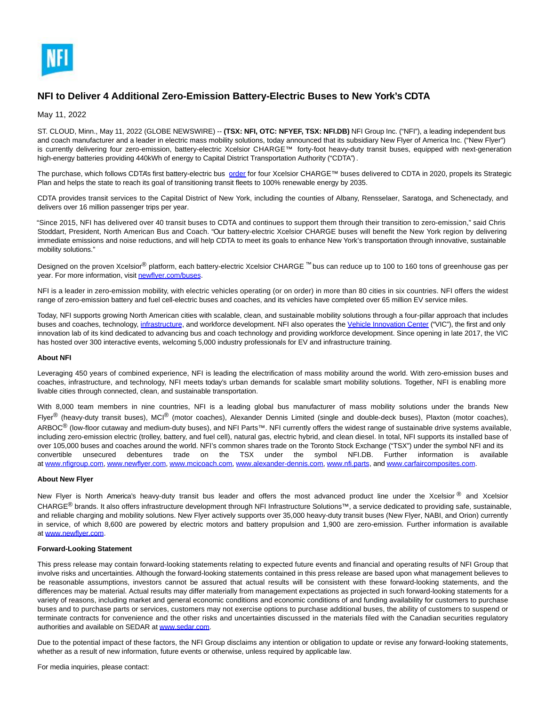

# **NFI to Deliver 4 Additional Zero-Emission Battery-Electric Buses to New York's CDTA**

## May 11, 2022

ST. CLOUD, Minn., May 11, 2022 (GLOBE NEWSWIRE) -- **(TSX: NFI, OTC: NFYEF, TSX: NFI.DB)** NFI Group Inc. ("NFI"), a leading independent bus and coach manufacturer and a leader in electric mass mobility solutions, today announced that its subsidiary New Flyer of America Inc. ("New Flyer") is currently delivering four zero-emission, battery-electric Xcelsior CHARGE™ forty-foot heavy-duty transit buses, equipped with next-generation high-energy batteries providing 440kWh of energy to Capital District Transportation Authority ("CDTA").

The purchase, which follows CDTA's first battery-electric bus [order f](https://www.globenewswire.com/Tracker?data=AINELCz3ObcuFR9ogypf0Cf5RaRa7WphJCiq14Gd6tCmq2e-QWJy5KA6hHMzv8irGQHJqvk2VHIuDUnuAqW5qg7XmA7OM39Szh5H_YEipNPr9AAmrooi5tUHJinC-tCIBTeB4IBXrp4NqRfkeo526N9J0mWElojFxc7RoPCU328=)or four Xcelsior CHARGE™ buses delivered to CDTA in 2020, propels its Strategic Plan and helps the state to reach its goal of transitioning transit fleets to 100% renewable energy by 2035.

CDTA provides transit services to the Capital District of New York, including the counties of Albany, Rensselaer, Saratoga, and Schenectady, and delivers over 16 million passenger trips per year.

"Since 2015, NFI has delivered over 40 transit buses to CDTA and continues to support them through their transition to zero-emission," said Chris Stoddart, President, North American Bus and Coach. "Our battery-electric Xcelsior CHARGE buses will benefit the New York region by delivering immediate emissions and noise reductions, and will help CDTA to meet its goals to enhance New York's transportation through innovative, sustainable mobility solutions."

Designed on the proven Xcelsior<sup>®</sup> platform, each battery-electric Xcelsior CHARGE<sup>™</sup> bus can reduce up to 100 to 160 tons of greenhouse gas per year. For more information, visi[t newflyer.com/buses.](https://www.globenewswire.com/Tracker?data=JDZh5a5f1w40balMd5n_o7PjWURimuP5wtNWhwxES6ax-hWvIN-Y2v71lj1DaDNqkIWaMx5tG4cL_EP01HTF0XzuA-jSSjMw5Z92xT0IROWRkqzBApNWLcemOJzwcV-DIho9cH-09tJ5jc578TjhSw==)

NFI is a leader in zero-emission mobility, with electric vehicles operating (or on order) in more than 80 cities in six countries. NFI offers the widest range of zero-emission battery and fuel cell-electric buses and coaches, and its vehicles have completed over 65 million EV service miles.

Today, NFI supports growing North American cities with scalable, clean, and sustainable mobility solutions through a four-pillar approach that includes buses and coaches, technology, [infrastructure,](https://www.globenewswire.com/Tracker?data=VjmP5eox7vm6b2c8xkzNIIn2jTK5XMTY4LJkSQlnLhTcZOQxCyifWQKpGjN25V0qHXY8mY0NiDwf_HWsD5AwJnjk9uh50oRoCwWZi0QeDJLjmYobHLBWvMgLG0cONYUl-sTqSyxpYLo1FZQ5q0IM2Q==) and workforce development. NFI also operates the [Vehicle Innovation Center \(](https://www.globenewswire.com/Tracker?data=Ik2aopFD7EUGDt_WB9n33JbYQ26J_Z1z5k6iJCkERPdwlpX8K0-0xpuad-VrSpSlcZz-leW0YESXFJRNGgbeaQ7BZHyhBWbosN7tn4lvF7tIlED3rkp7cIDmRsNfd_cqgQ7vlYs-87rtzXA9I8v7GA==)"VIC"), the first and only innovation lab of its kind dedicated to advancing bus and coach technology and providing workforce development. Since opening in late 2017, the VIC has hosted over 300 interactive events, welcoming 5,000 industry professionals for EV and infrastructure training.

### **About NFI**

Leveraging 450 years of combined experience, NFI is leading the electrification of mass mobility around the world. With zero-emission buses and coaches, infrastructure, and technology, NFI meets today's urban demands for scalable smart mobility solutions. Together, NFI is enabling more livable cities through connected, clean, and sustainable transportation.

With 8,000 team members in nine countries, NFI is a leading global bus manufacturer of mass mobility solutions under the brands New Flyer® (heavy-duty transit buses), MCI® (motor coaches), Alexander Dennis Limited (single and double-deck buses), Plaxton (motor coaches), ARBOC® (low-floor cutaway and medium-duty buses), and NFI Parts™. NFI currently offers the widest range of sustainable drive systems available, including zero-emission electric (trolley, battery, and fuel cell), natural gas, electric hybrid, and clean diesel. In total, NFI supports its installed base of over 105,000 buses and coaches around the world. NFI's common shares trade on the Toronto Stock Exchange ("TSX") under the symbol NFI and its convertible unsecured debentures trade on the TSX under the symbol NFI.DB. Further information is available at [www.nfigroup.com,](https://www.globenewswire.com/Tracker?data=GADRM96AFPRDZYpj0NpuNIeCZpkdDAe3GBBCLJt3kp3F3dPMjfiVcl7MeazPRTybY7JJ_nRuNkIIOpKHYxEbLw==) [www.newflyer.com,](https://www.globenewswire.com/Tracker?data=k8Nx6WNg7mf5GGQ1QhNRDfabvtac3iLE6NzcmpoNH-761SZnavXVhoXhAXvFg9MWzbJyiq-Ulkz0l2Zla1eIbg==) [www.mcicoach.com,](https://www.globenewswire.com/Tracker?data=AbrO2vXpxabIjJ97mHGJg454uqEnzKYKC6GdXyOoYW0I6x_g7JVRYFdi6leaClGBFGoZA7aQx1q1-nH08aI2GQ==) [www.alexander-dennis.com,](https://www.globenewswire.com/Tracker?data=ZJfTYHs7cdiVifielroeXqEiI95uu9EIBh2ft7Bl0deLLfpPwZNVkidzWYaGA7pDqe16f3VeEV2W7dJuVVuJCdZfwaUyji8uXu4OIARP6iM=) [www.nfi.parts,](https://www.globenewswire.com/Tracker?data=GADRM96AFPRDZYpj0NpuNCWCEscjwknqXlENOVVQEg8d-N93y4Nm88FriW1NU3a6R6sfmBHpck6RoKlXxKv5GQ==) and [www.carfaircomposites.com.](https://www.globenewswire.com/Tracker?data=tDHGOW95uxw12hyBGunE234qdum6bONCuPM499PDlKJWCafhPEUWhma2Hu1EaUvXrrO8Mfoej2dhV1Qr3mS7Xe9tc8vtgrR2JtUY6J0LENA=)

#### **About New Flyer**

New Flyer is North America's heavy-duty transit bus leader and offers the most advanced product line under the Xcelsior ® and Xcelsior CHARGE® brands. It also offers infrastructure development through NFI Infrastructure Solutions™, a service dedicated to providing safe, sustainable, and reliable charging and mobility solutions. New Flyer actively supports over 35,000 heavy-duty transit buses (New Flyer, NABI, and Orion) currently in service, of which 8,600 are powered by electric motors and battery propulsion and 1,900 are zero-emission. Further information is available at [www.newflyer.com.](https://www.globenewswire.com/Tracker?data=k8Nx6WNg7mf5GGQ1QhNRDZsZx24PXw-06SuGt-Xg2xIUkXdhOB-_PCPOziRRANf7Y-r_K15xisJnvZFxR-xrYg==)

#### **Forward-Looking Statement**

This press release may contain forward-looking statements relating to expected future events and financial and operating results of NFI Group that involve risks and uncertainties. Although the forward-looking statements contained in this press release are based upon what management believes to be reasonable assumptions, investors cannot be assured that actual results will be consistent with these forward-looking statements, and the differences may be material. Actual results may differ materially from management expectations as projected in such forward-looking statements for a variety of reasons, including market and general economic conditions and economic conditions of and funding availability for customers to purchase buses and to purchase parts or services, customers may not exercise options to purchase additional buses, the ability of customers to suspend or terminate contracts for convenience and the other risks and uncertainties discussed in the materials filed with the Canadian securities regulatory authorities and available on SEDAR at [www.sedar.com.](https://www.globenewswire.com/Tracker?data=MenXj0s87J9ZQDdDXzpJEvqqPCeWpdXGXCbhyB9jtUp2tcVTLxrZs_DT-QUQP4JiBDSeT3SaH5CrtyVjxTezyw==)

Due to the potential impact of these factors, the NFI Group disclaims any intention or obligation to update or revise any forward-looking statements, whether as a result of new information, future events or otherwise, unless required by applicable law.

For media inquiries, please contact: